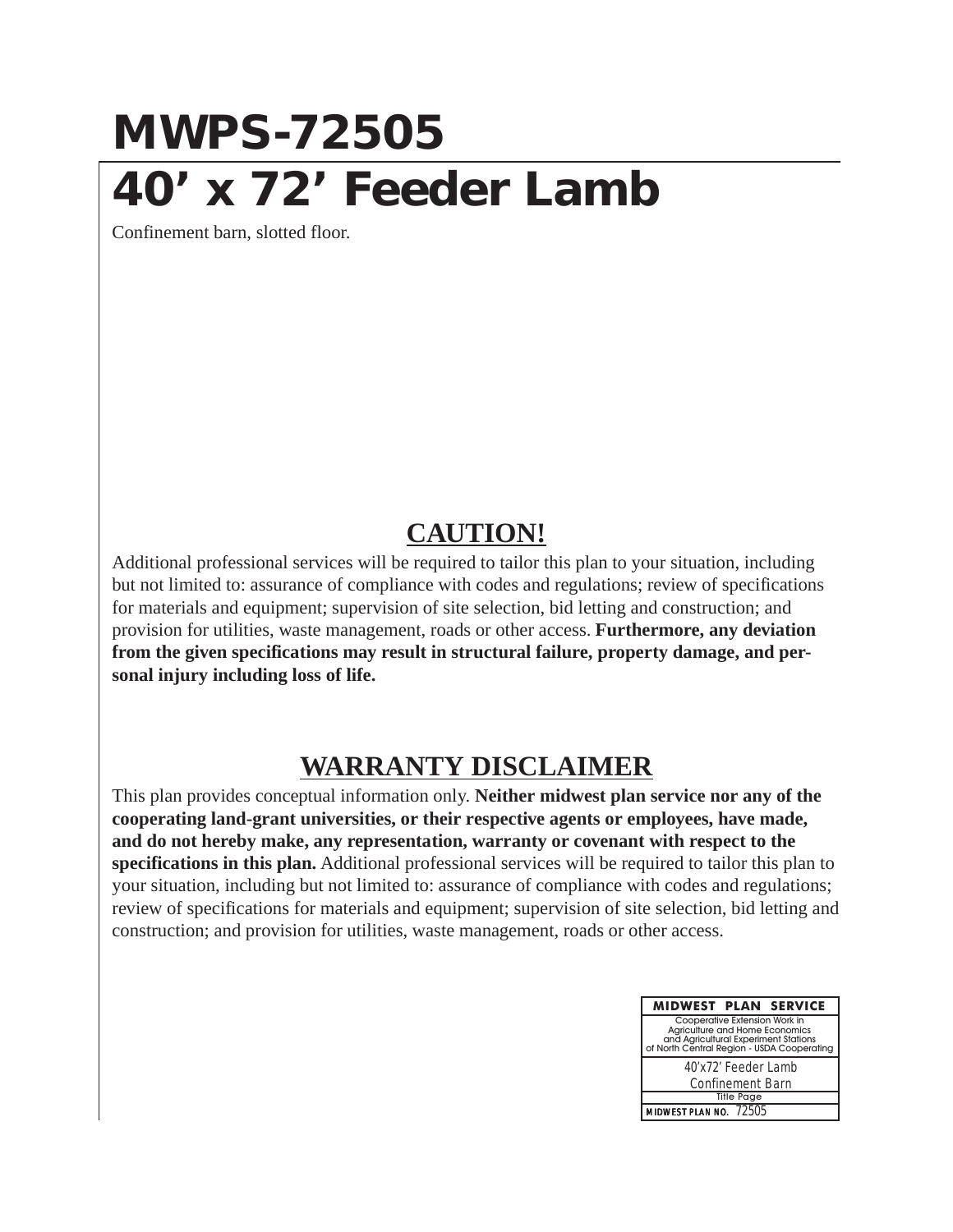## **MWPS-72505 40' x 72' Feeder Lamb**

Confinement barn, slotted floor.

## **CAUTION!**

Additional professional services will be required to tailor this plan to your situation, including but not limited to: assurance of compliance with codes and regulations; review of specifications for materials and equipment; supervision of site selection, bid letting and construction; and provision for utilities, waste management, roads or other access. **Furthermore, any deviation from the given specifications may result in structural failure, property damage, and personal injury including loss of life.**

## **WARRANTY DISCLAIMER**

This plan provides conceptual information only. **Neither midwest plan service nor any of the cooperating land-grant universities, or their respective agents or employees, have made, and do not hereby make, any representation, warranty or covenant with respect to the specifications in this plan.** Additional professional services will be required to tailor this plan to your situation, including but not limited to: assurance of compliance with codes and regulations; review of specifications for materials and equipment; supervision of site selection, bid letting and construction; and provision for utilities, waste management, roads or other access.

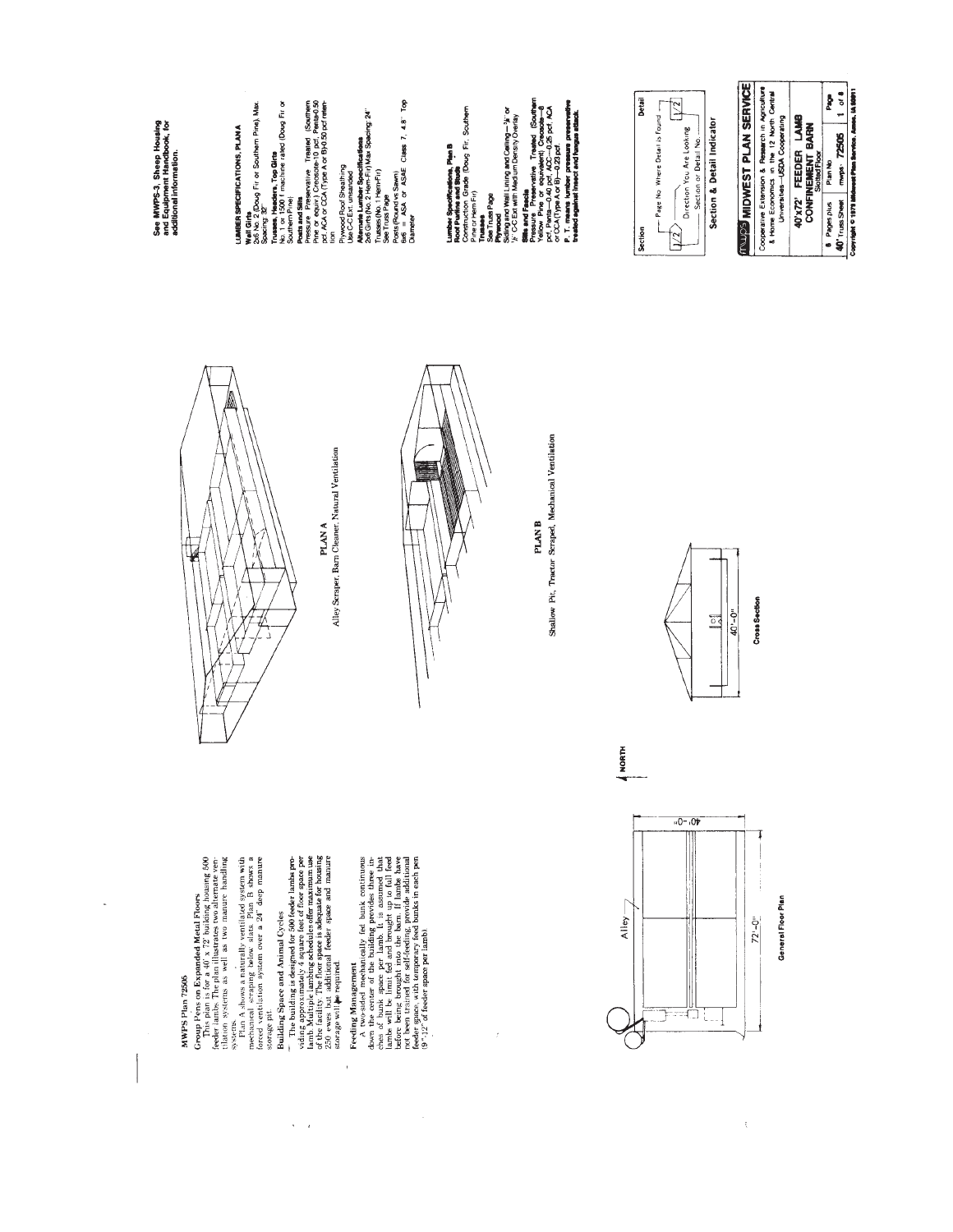MWPS Plan 72505

÷,

Group Pens on Expanded Metal Ploors<br>for a signal is for a 40 x 72 between the state in fection systems is well as two numer handling<br>filterior, systems is well as two mature handling<br>systems in a state in the state of the

 $\lambda = \lambda$ 

Building Space and Animal Cycles<br>
— The building is designed for 500 feeder lambs pre-<br>
is an Multiple lambing 4 schedules ofter maximum use<br>
is an Multiple lambing 4 schedules ofter maximum use<br>
of the facility. The floo

Feeding Management and y fed bunk continuous<br>down the center of the holiding provides three in-<br>down the center of the holiding provides three in-<br>ches of bunk space per lamb. It is assumed that<br>there will be hunt ted and

 $\bar{t}$ 



Alley Scraper, Barn Cleaner, Natural Ventilation PLAN A

Peats and Site<br>Pressure Preservative Traated (Southern<br>Pre or equiv.) Crossole-10 pcf. Pertur0.50<br>tof. ACA or CCA (Type A or B)-0.50 pcf refer-

Trusses, Headers, Top Girts<br>No. 1 or 1500 f machine rated (Doug Fir or<br>Southern Pine)

Wall Girts<br>2x6 No. 2 (Doug Fir or Southern Pine), Max.<br>Spacing: 32″

LUMBER SPECIFICATIONS, PLAN A

See MWPS-3, Sheep Housing<br>and Equipment Handbook, for<br>additional information.

Thusses (No. 1 Henn-Fir)<br>See Truss Page<br>Prosts Round vs Sawm)<br>Dhameter SA or ASAE Class 7, 4.8" Top<br>Dhameter

Alternate Lumber Specifications<br>2x6 Gins (No. 2 Hem-Fir) Max Spacing: 24"

Plywood Roof Sheathing<br>Use C-C Ext. unsanded

Lumber Specifications, Plan B<br>Roof Purfine and Stude<br>Construction Grade (Doug Fir, Southern<br>Pine or Hem Fir)



Shallow Pit, Tractor Scraped, Mechanical Ventilation **PLAN B** 

Stilla and Fauchi<br>Prince of the convenient (1964)<br>Prince of the convenient (1964)<br>DCF, Penta-O-40 DCF, ACC-O-26 DCF, ACA<br>P. CCA, Type And Branch and International<br>Presided against interest and turgus attack.<br>Texture degine

Physioad<br>Stding and Wall Lining and Celling—%" or<br>%" C-C Ext with Medium Density Overlay

**Trusses**<br>See Truss Page



 $\bar{\xi}$ 





A NORTH







Cross Section





Copyright © 1979 Midwest Plan Service. Ames. 14.50011

Section & Detail Indicator

 $\sqrt{2}$ 

 $\overline{\mathbb{R}}$ 

- Page No Where Detail is Found -

Detail

Section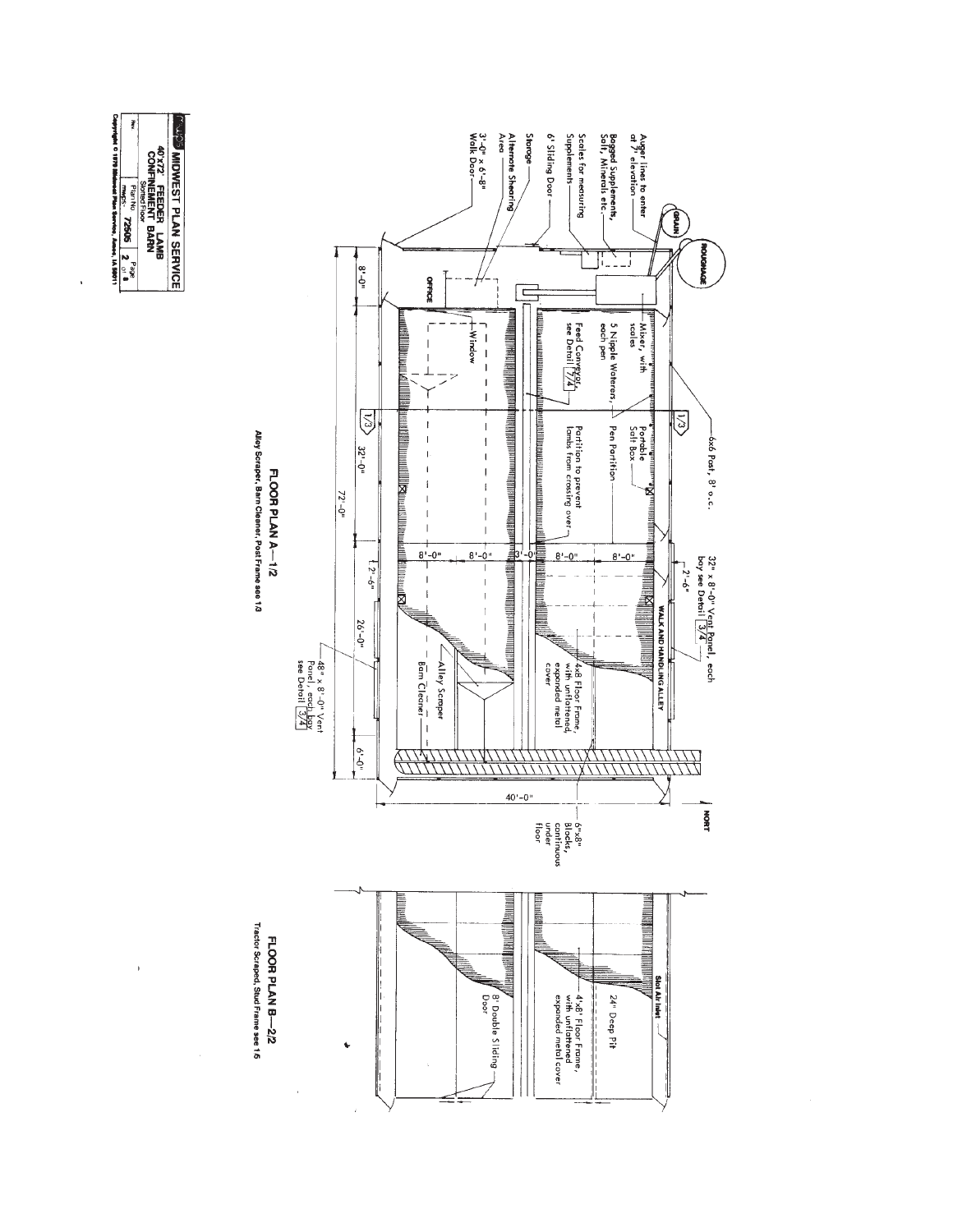

 $\bar{1}$ 

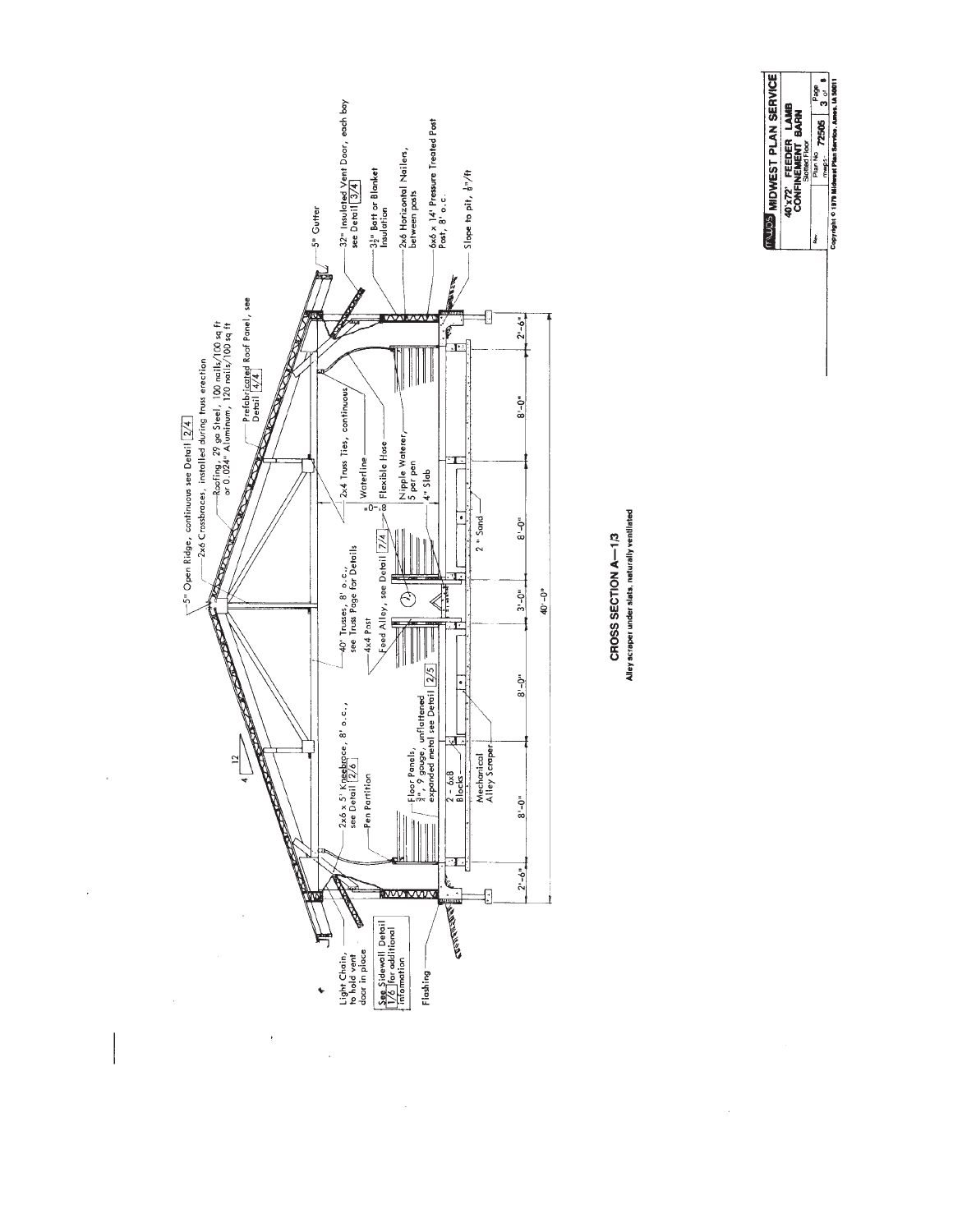



Alley scraper under slats, naturally ventilated CROSS SECTION A-1/3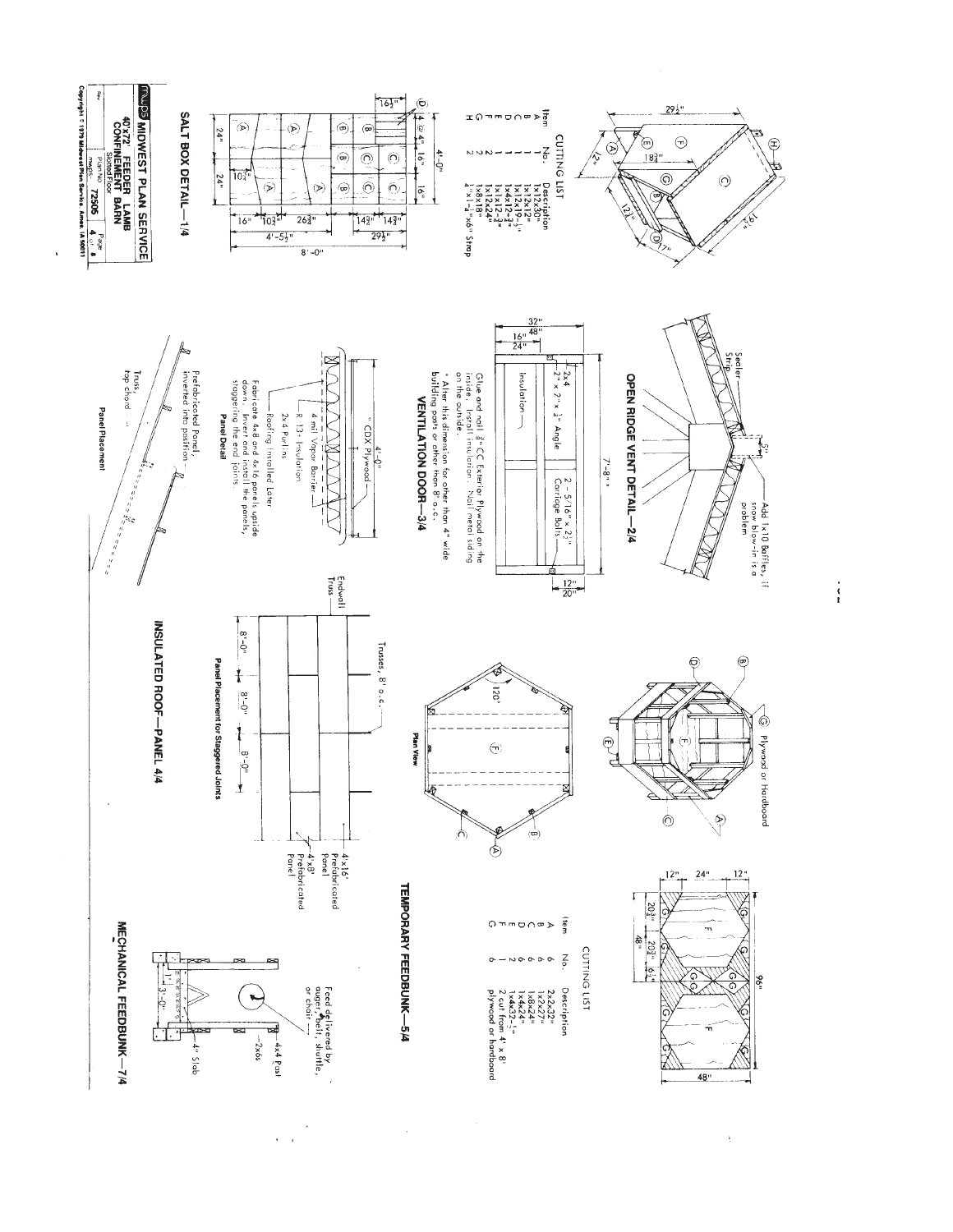

 $\frac{1}{3}$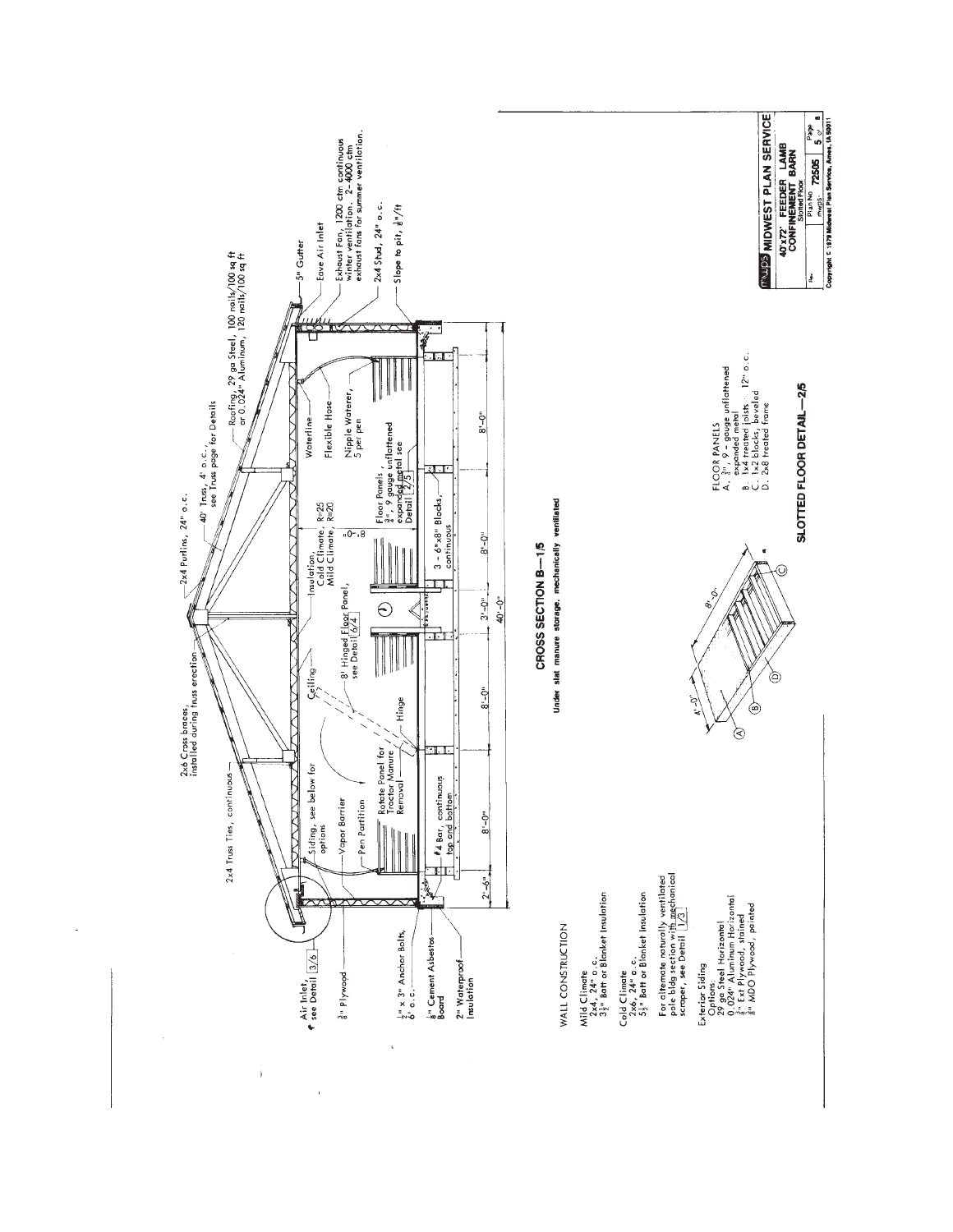